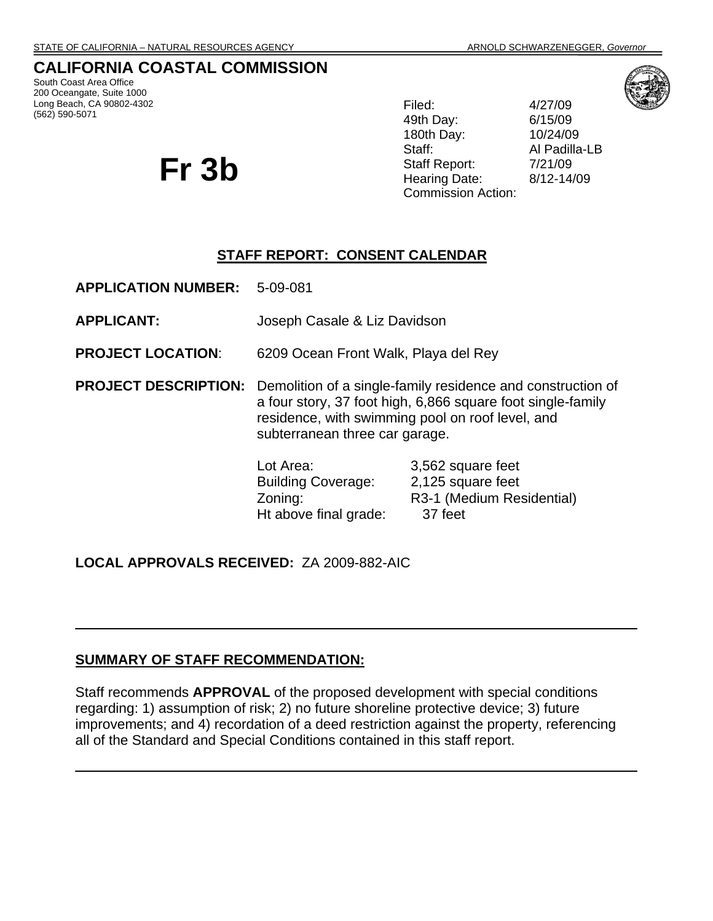## **CALIFORNIA COASTAL COMMISSION**

South Coast Area Office 200 Oceangate, Suite 1000 Long Beach, CA 90802-4302 (562) 590-5071

# **Fr 3b**

49th Day: 6/15/09 180th Day: 10/24/09 Staff: Al Padilla-LB Staff Report: 7/21/09 Hearing Date: 8/12-14/09 Commission Action:

Filed: 4/27/09



#### **STAFF REPORT: CONSENT CALENDAR**

**APPLICATION NUMBER:** 5-09-081 **APPLICANT:** Joseph Casale & Liz Davidson **PROJECT LOCATION**: 6209 Ocean Front Walk, Playa del Rey **PROJECT DESCRIPTION:** Demolition of a single-family residence and construction of a four story, 37 foot high, 6,866 square foot single-family residence, with swimming pool on roof level, and subterranean three car garage. Lot Area: 3,562 square feet Building Coverage: 2,125 square feet Zoning: R3-1 (Medium Residential) Ht above final grade: 37 feet

#### **LOCAL APPROVALS RECEIVED:** ZA 2009-882-AIC

#### **SUMMARY OF STAFF RECOMMENDATION:**

Staff recommends **APPROVAL** of the proposed development with special conditions regarding: 1) assumption of risk; 2) no future shoreline protective device; 3) future improvements; and 4) recordation of a deed restriction against the property, referencing all of the Standard and Special Conditions contained in this staff report.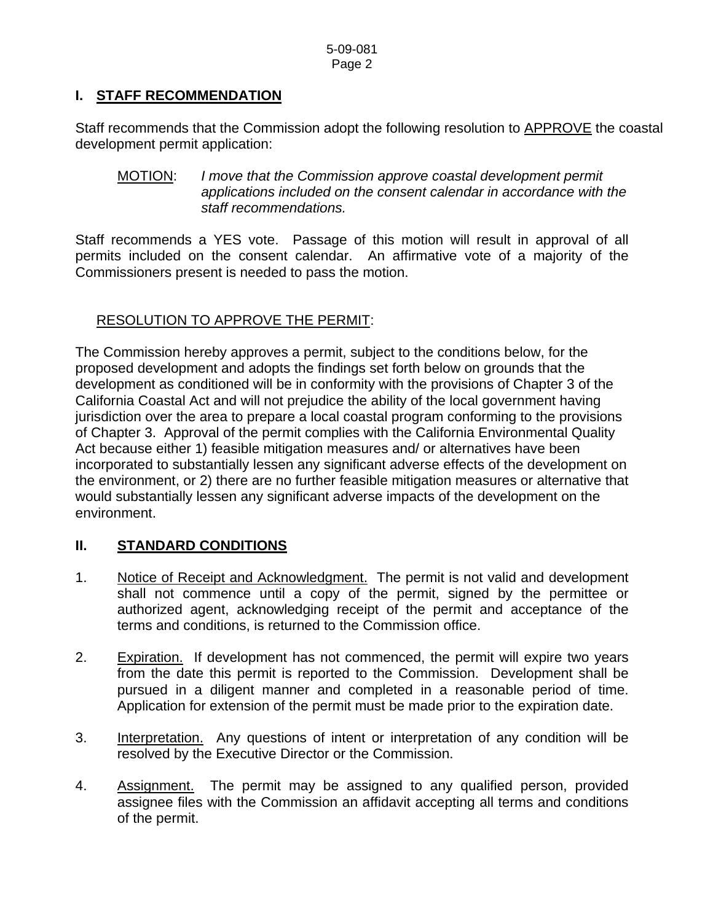# **I. STAFF RECOMMENDATION**

Staff recommends that the Commission adopt the following resolution to **APPROVE** the coastal development permit application:

MOTION: *I move that the Commission approve coastal development permit applications included on the consent calendar in accordance with the staff recommendations.*

Staff recommends a YES vote. Passage of this motion will result in approval of all permits included on the consent calendar. An affirmative vote of a majority of the Commissioners present is needed to pass the motion.

# RESOLUTION TO APPROVE THE PERMIT:

The Commission hereby approves a permit, subject to the conditions below, for the proposed development and adopts the findings set forth below on grounds that the development as conditioned will be in conformity with the provisions of Chapter 3 of the California Coastal Act and will not prejudice the ability of the local government having jurisdiction over the area to prepare a local coastal program conforming to the provisions of Chapter 3. Approval of the permit complies with the California Environmental Quality Act because either 1) feasible mitigation measures and/ or alternatives have been incorporated to substantially lessen any significant adverse effects of the development on the environment, or 2) there are no further feasible mitigation measures or alternative that would substantially lessen any significant adverse impacts of the development on the environment.

# **II. STANDARD CONDITIONS**

- 1. Notice of Receipt and Acknowledgment. The permit is not valid and development shall not commence until a copy of the permit, signed by the permittee or authorized agent, acknowledging receipt of the permit and acceptance of the terms and conditions, is returned to the Commission office.
- 2. Expiration. If development has not commenced, the permit will expire two years from the date this permit is reported to the Commission. Development shall be pursued in a diligent manner and completed in a reasonable period of time. Application for extension of the permit must be made prior to the expiration date.
- 3. Interpretation. Any questions of intent or interpretation of any condition will be resolved by the Executive Director or the Commission.
- 4. Assignment. The permit may be assigned to any qualified person, provided assignee files with the Commission an affidavit accepting all terms and conditions of the permit.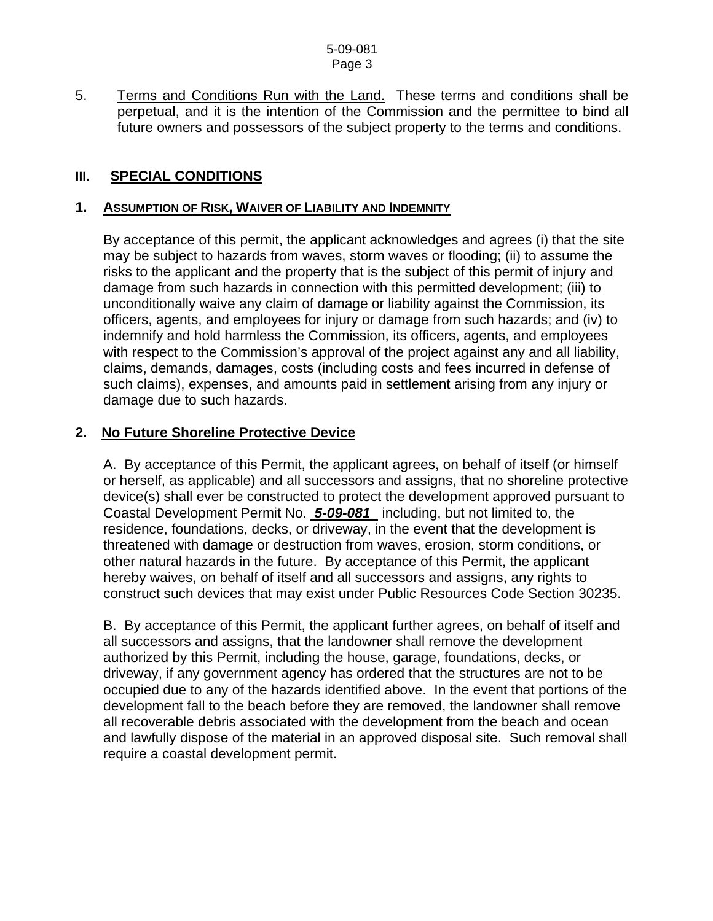#### 5-09-081 Page 3

5. Terms and Conditions Run with the Land. These terms and conditions shall be perpetual, and it is the intention of the Commission and the permittee to bind all future owners and possessors of the subject property to the terms and conditions.

## **III. SPECIAL CONDITIONS**

#### **1. ASSUMPTION OF RISK, WAIVER OF LIABILITY AND INDEMNITY**

By acceptance of this permit, the applicant acknowledges and agrees (i) that the site may be subject to hazards from waves, storm waves or flooding; (ii) to assume the risks to the applicant and the property that is the subject of this permit of injury and damage from such hazards in connection with this permitted development; (iii) to unconditionally waive any claim of damage or liability against the Commission, its officers, agents, and employees for injury or damage from such hazards; and (iv) to indemnify and hold harmless the Commission, its officers, agents, and employees with respect to the Commission's approval of the project against any and all liability, claims, demands, damages, costs (including costs and fees incurred in defense of such claims), expenses, and amounts paid in settlement arising from any injury or damage due to such hazards.

#### **2. No Future Shoreline Protective Device**

A. By acceptance of this Permit, the applicant agrees, on behalf of itself (or himself or herself, as applicable) and all successors and assigns, that no shoreline protective device(s) shall ever be constructed to protect the development approved pursuant to Coastal Development Permit No. *5-09-081* including, but not limited to, the residence, foundations, decks, or driveway, in the event that the development is threatened with damage or destruction from waves, erosion, storm conditions, or other natural hazards in the future. By acceptance of this Permit, the applicant hereby waives, on behalf of itself and all successors and assigns, any rights to construct such devices that may exist under Public Resources Code Section 30235.

B. By acceptance of this Permit, the applicant further agrees, on behalf of itself and all successors and assigns, that the landowner shall remove the development authorized by this Permit, including the house, garage, foundations, decks, or driveway, if any government agency has ordered that the structures are not to be occupied due to any of the hazards identified above. In the event that portions of the development fall to the beach before they are removed, the landowner shall remove all recoverable debris associated with the development from the beach and ocean and lawfully dispose of the material in an approved disposal site. Such removal shall require a coastal development permit.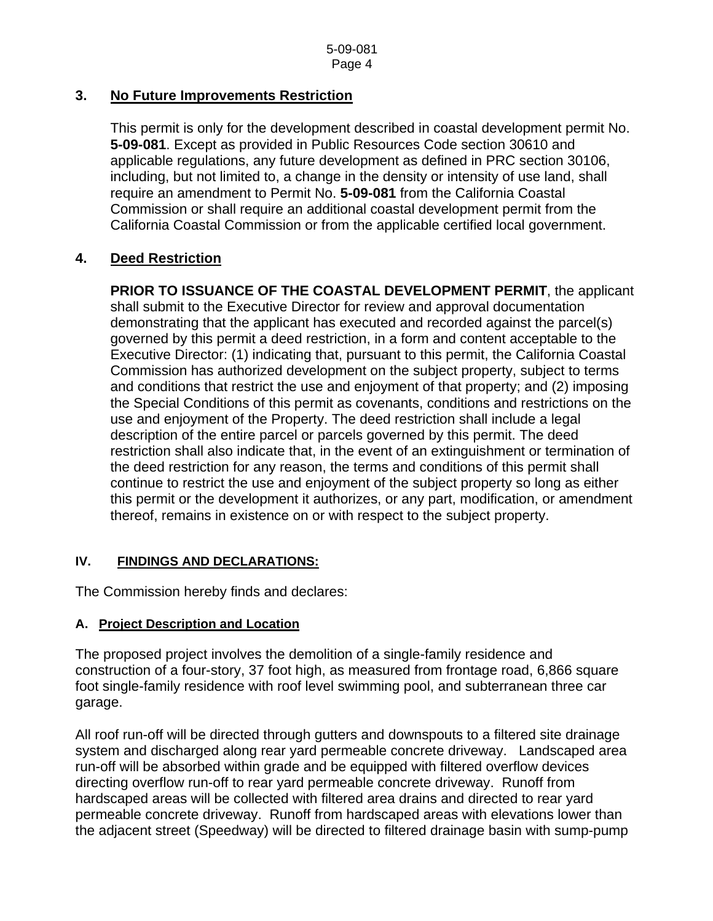## **3. No Future Improvements Restriction**

 This permit is only for the development described in coastal development permit No. **5-09-081**. Except as provided in Public Resources Code section 30610 and applicable regulations, any future development as defined in PRC section 30106, including, but not limited to, a change in the density or intensity of use land, shall require an amendment to Permit No. **5-09-081** from the California Coastal Commission or shall require an additional coastal development permit from the California Coastal Commission or from the applicable certified local government.

## **4. Deed Restriction**

**PRIOR TO ISSUANCE OF THE COASTAL DEVELOPMENT PERMIT**, the applicant shall submit to the Executive Director for review and approval documentation demonstrating that the applicant has executed and recorded against the parcel(s) governed by this permit a deed restriction, in a form and content acceptable to the Executive Director: (1) indicating that, pursuant to this permit, the California Coastal Commission has authorized development on the subject property, subject to terms and conditions that restrict the use and enjoyment of that property; and (2) imposing the Special Conditions of this permit as covenants, conditions and restrictions on the use and enjoyment of the Property. The deed restriction shall include a legal description of the entire parcel or parcels governed by this permit. The deed restriction shall also indicate that, in the event of an extinguishment or termination of the deed restriction for any reason, the terms and conditions of this permit shall continue to restrict the use and enjoyment of the subject property so long as either this permit or the development it authorizes, or any part, modification, or amendment thereof, remains in existence on or with respect to the subject property.

#### **IV. FINDINGS AND DECLARATIONS:**

The Commission hereby finds and declares:

#### **A. Project Description and Location**

The proposed project involves the demolition of a single-family residence and construction of a four-story, 37 foot high, as measured from frontage road, 6,866 square foot single-family residence with roof level swimming pool, and subterranean three car garage.

All roof run-off will be directed through gutters and downspouts to a filtered site drainage system and discharged along rear yard permeable concrete driveway. Landscaped area run-off will be absorbed within grade and be equipped with filtered overflow devices directing overflow run-off to rear yard permeable concrete driveway. Runoff from hardscaped areas will be collected with filtered area drains and directed to rear yard permeable concrete driveway. Runoff from hardscaped areas with elevations lower than the adjacent street (Speedway) will be directed to filtered drainage basin with sump-pump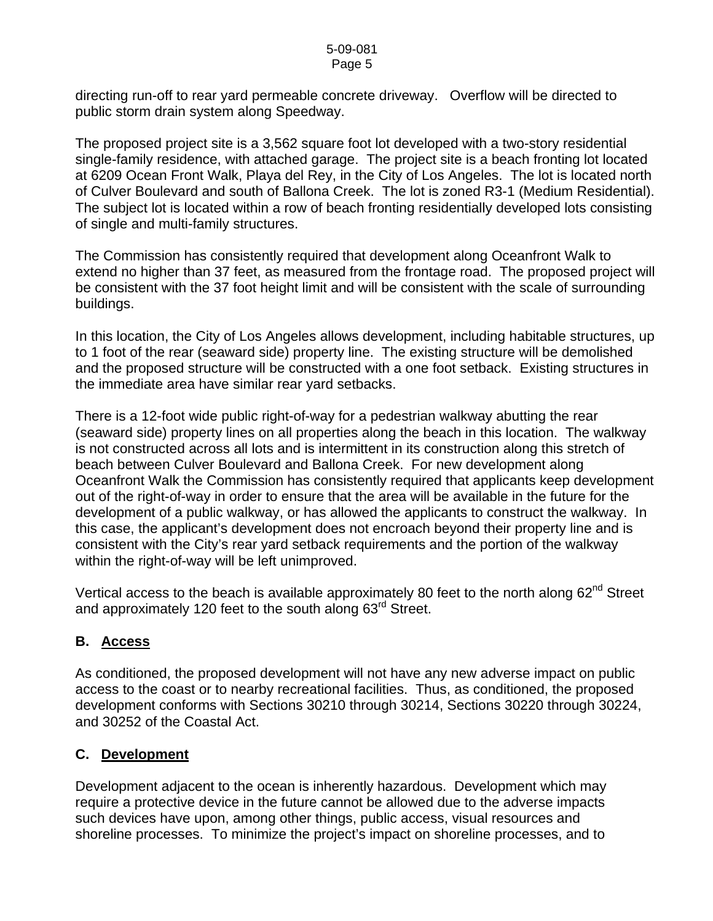directing run-off to rear yard permeable concrete driveway. Overflow will be directed to public storm drain system along Speedway.

The proposed project site is a 3,562 square foot lot developed with a two-story residential single-family residence, with attached garage. The project site is a beach fronting lot located at 6209 Ocean Front Walk, Playa del Rey, in the City of Los Angeles. The lot is located north of Culver Boulevard and south of Ballona Creek. The lot is zoned R3-1 (Medium Residential). The subject lot is located within a row of beach fronting residentially developed lots consisting of single and multi-family structures.

The Commission has consistently required that development along Oceanfront Walk to extend no higher than 37 feet, as measured from the frontage road. The proposed project will be consistent with the 37 foot height limit and will be consistent with the scale of surrounding buildings.

In this location, the City of Los Angeles allows development, including habitable structures, up to 1 foot of the rear (seaward side) property line. The existing structure will be demolished and the proposed structure will be constructed with a one foot setback. Existing structures in the immediate area have similar rear yard setbacks.

There is a 12-foot wide public right-of-way for a pedestrian walkway abutting the rear (seaward side) property lines on all properties along the beach in this location. The walkway is not constructed across all lots and is intermittent in its construction along this stretch of beach between Culver Boulevard and Ballona Creek. For new development along Oceanfront Walk the Commission has consistently required that applicants keep development out of the right-of-way in order to ensure that the area will be available in the future for the development of a public walkway, or has allowed the applicants to construct the walkway. In this case, the applicant's development does not encroach beyond their property line and is consistent with the City's rear yard setback requirements and the portion of the walkway within the right-of-way will be left unimproved.

Vertical access to the beach is available approximately 80 feet to the north along  $62^{nd}$  Street and approximately 120 feet to the south along 63<sup>rd</sup> Street.

# **B. Access**

As conditioned, the proposed development will not have any new adverse impact on public access to the coast or to nearby recreational facilities. Thus, as conditioned, the proposed development conforms with Sections 30210 through 30214, Sections 30220 through 30224, and 30252 of the Coastal Act.

# **C. Development**

Development adjacent to the ocean is inherently hazardous. Development which may require a protective device in the future cannot be allowed due to the adverse impacts such devices have upon, among other things, public access, visual resources and shoreline processes. To minimize the project's impact on shoreline processes, and to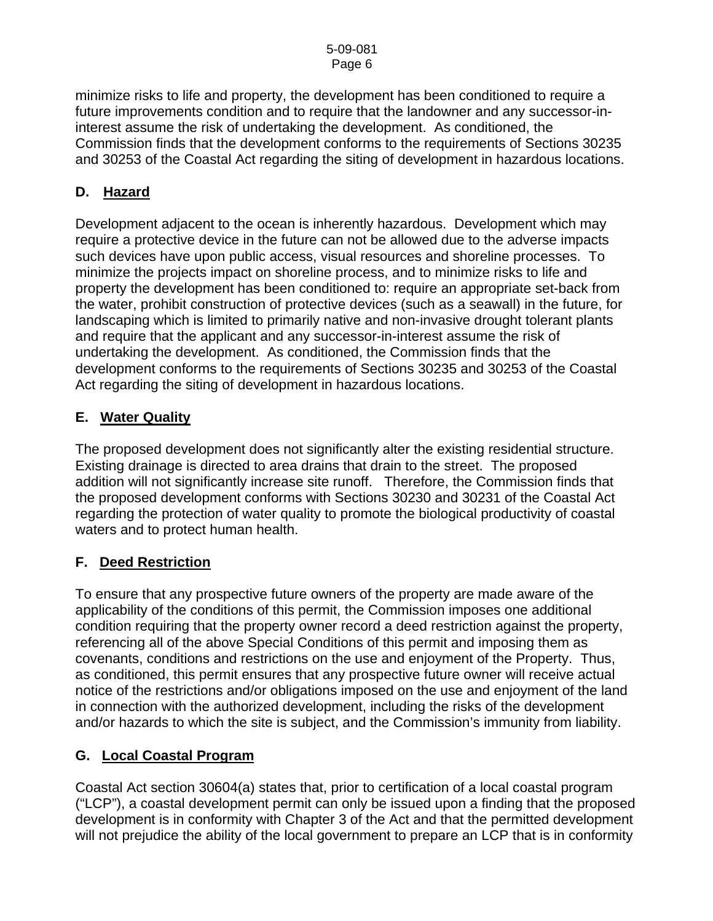minimize risks to life and property, the development has been conditioned to require a future improvements condition and to require that the landowner and any successor-ininterest assume the risk of undertaking the development. As conditioned, the Commission finds that the development conforms to the requirements of Sections 30235 and 30253 of the Coastal Act regarding the siting of development in hazardous locations.

# **D. Hazard**

Development adjacent to the ocean is inherently hazardous. Development which may require a protective device in the future can not be allowed due to the adverse impacts such devices have upon public access, visual resources and shoreline processes. To minimize the projects impact on shoreline process, and to minimize risks to life and property the development has been conditioned to: require an appropriate set-back from the water, prohibit construction of protective devices (such as a seawall) in the future, for landscaping which is limited to primarily native and non-invasive drought tolerant plants and require that the applicant and any successor-in-interest assume the risk of undertaking the development. As conditioned, the Commission finds that the development conforms to the requirements of Sections 30235 and 30253 of the Coastal Act regarding the siting of development in hazardous locations.

# **E. Water Quality**

The proposed development does not significantly alter the existing residential structure. Existing drainage is directed to area drains that drain to the street. The proposed addition will not significantly increase site runoff. Therefore, the Commission finds that the proposed development conforms with Sections 30230 and 30231 of the Coastal Act regarding the protection of water quality to promote the biological productivity of coastal waters and to protect human health.

# **F. Deed Restriction**

To ensure that any prospective future owners of the property are made aware of the applicability of the conditions of this permit, the Commission imposes one additional condition requiring that the property owner record a deed restriction against the property, referencing all of the above Special Conditions of this permit and imposing them as covenants, conditions and restrictions on the use and enjoyment of the Property. Thus, as conditioned, this permit ensures that any prospective future owner will receive actual notice of the restrictions and/or obligations imposed on the use and enjoyment of the land in connection with the authorized development, including the risks of the development and/or hazards to which the site is subject, and the Commission's immunity from liability.

# **G. Local Coastal Program**

Coastal Act section 30604(a) states that, prior to certification of a local coastal program ("LCP"), a coastal development permit can only be issued upon a finding that the proposed development is in conformity with Chapter 3 of the Act and that the permitted development will not prejudice the ability of the local government to prepare an LCP that is in conformity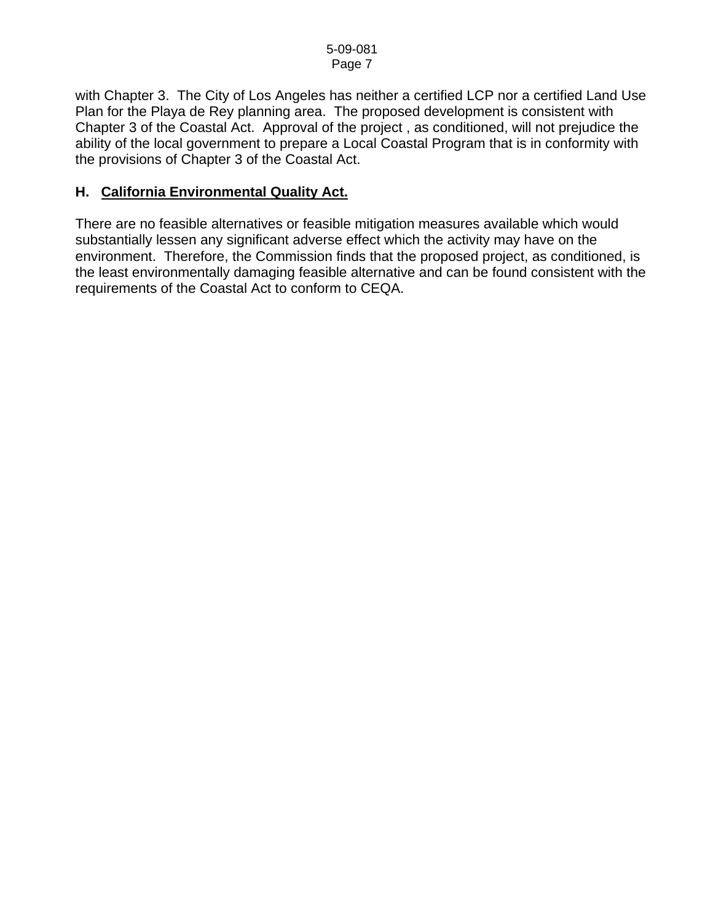with Chapter 3. The City of Los Angeles has neither a certified LCP nor a certified Land Use Plan for the Playa de Rey planning area. The proposed development is consistent with Chapter 3 of the Coastal Act. Approval of the project , as conditioned, will not prejudice the ability of the local government to prepare a Local Coastal Program that is in conformity with the provisions of Chapter 3 of the Coastal Act.

## **H. California Environmental Quality Act.**

There are no feasible alternatives or feasible mitigation measures available which would substantially lessen any significant adverse effect which the activity may have on the environment. Therefore, the Commission finds that the proposed project, as conditioned, is the least environmentally damaging feasible alternative and can be found consistent with the requirements of the Coastal Act to conform to CEQA.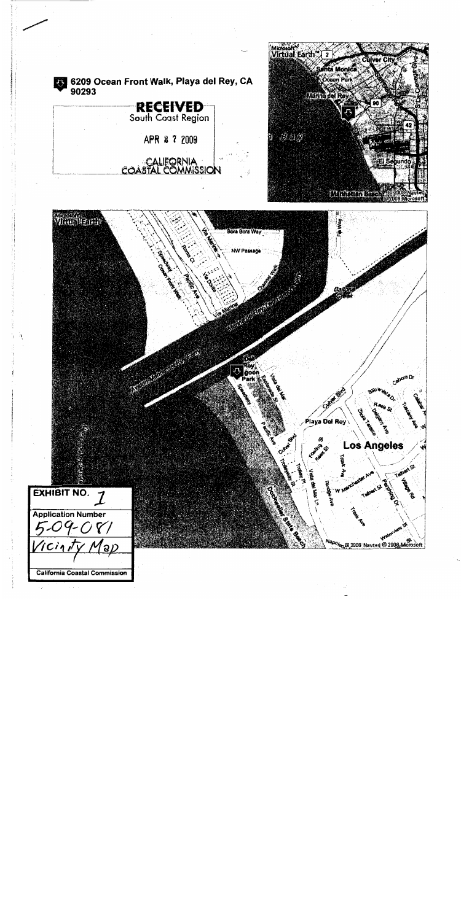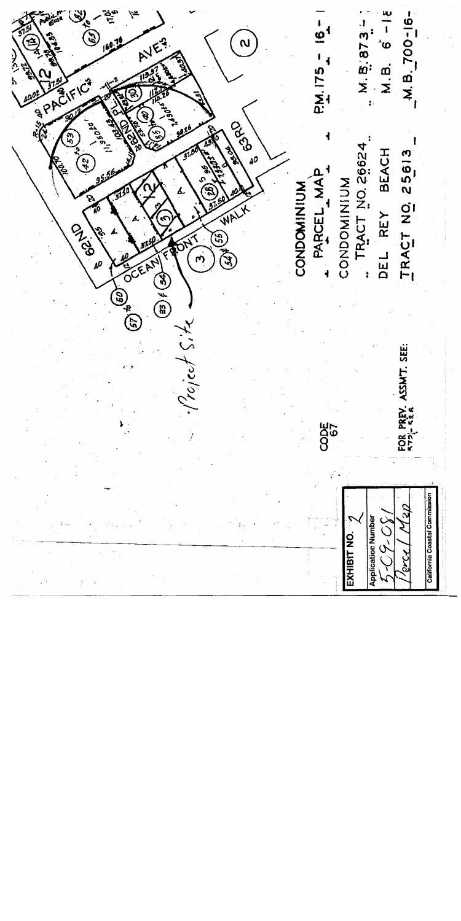$M.B. 6 - 18$ M.B. 700-16- $M.B.873 \mathcal{L}^{(e)}$  $\dot{\omega}$ AVE **PM. 175 RISPACIFIC OBSTANCE** r<br>5 TRACT NO. 26624 DEL REY BEACH TRACT NO. 25613  $\mathbf{z}$ PARCEL MAP CONDOMINIUM CONDOMINIUM ڲ **PASS**  $(55)$ OCEAN so  $\left( \mathfrak{p}\mathfrak{p}\right) \notin \left( \mathfrak{g}\mathfrak{p}\right)$  $\widehat{\left(\mathcal{C}\mathcal{G}\right)}^{\mathrm{op}}$  $reject$  S. FOR PREV. ASSMT. SEE: CODE<br>67 California Coastal Commission 3030 **Application Number** EXHIBIT NO. arce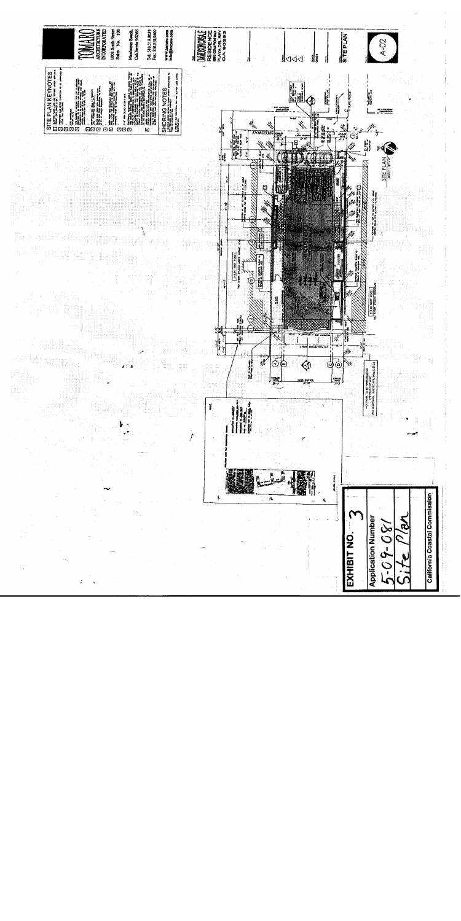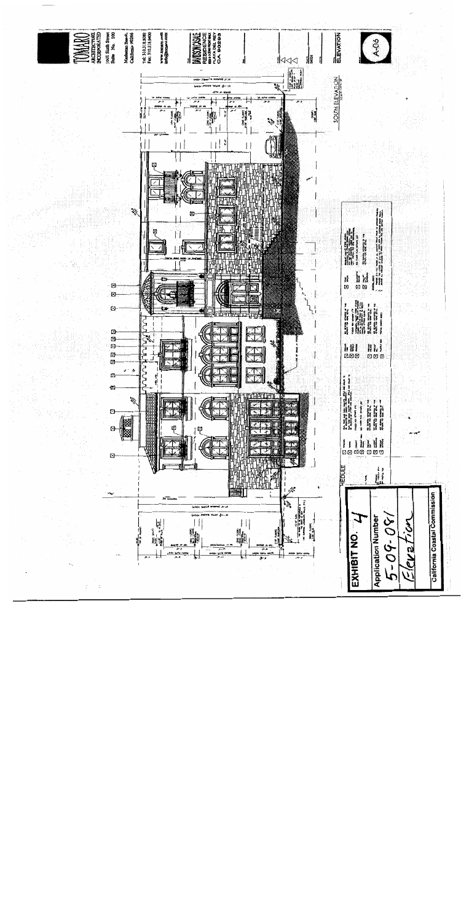